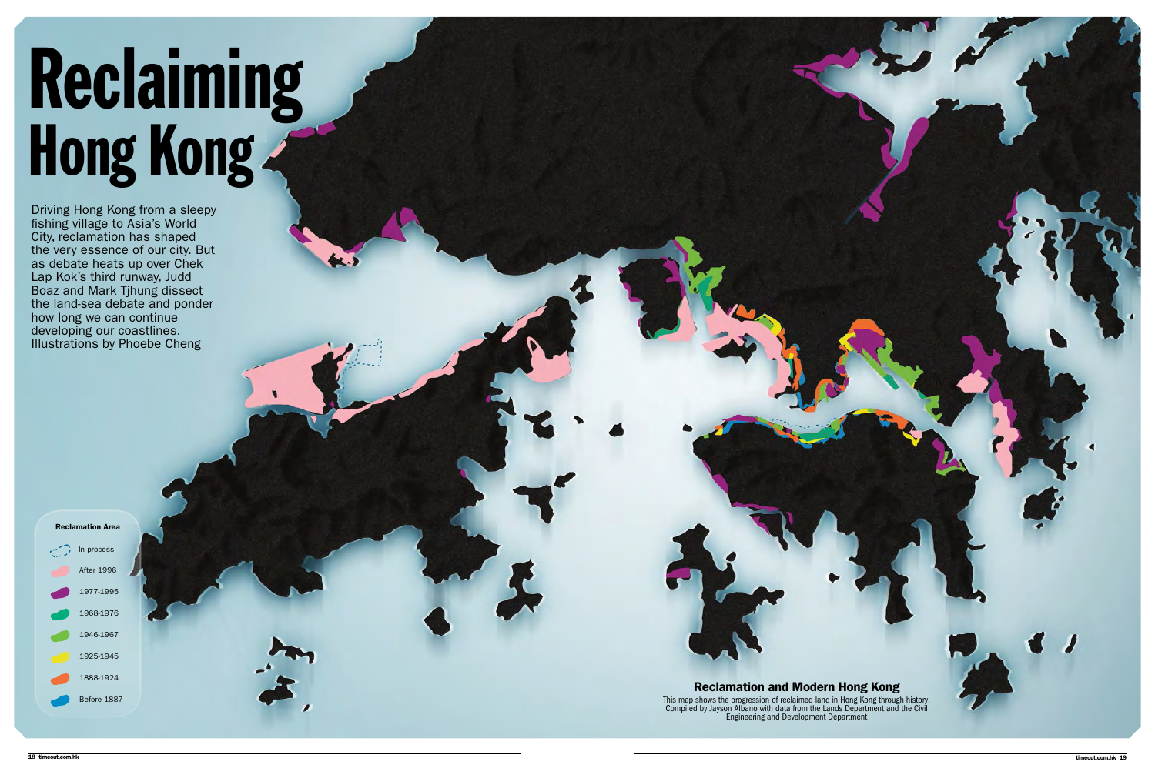# Reclaiming Hong Kong

Reclamation Area  $\sum$  In process

Driving Hong Kong from a sleepy fishing village to Asia's World City, reclamation has shaped the very essence of our city. But as debate heats up over Chek Lap Kok's third runway, Judd Boaz and Mark Tjhung dissect the land-sea debate and ponder how long we can continue developing our coastlines. Illustrations by Phoebe Cheng

After 1996 1977-1995 1968-1976 1946-1967 1925-1945 1888-1924 Before 1887

Reclamation and Modern Hong Kong This map shows the progression of reclaimed land in Hong Kong through history. Compiled by Jayson Albano with data from the Lands Department and the Civil Engineering and Development Department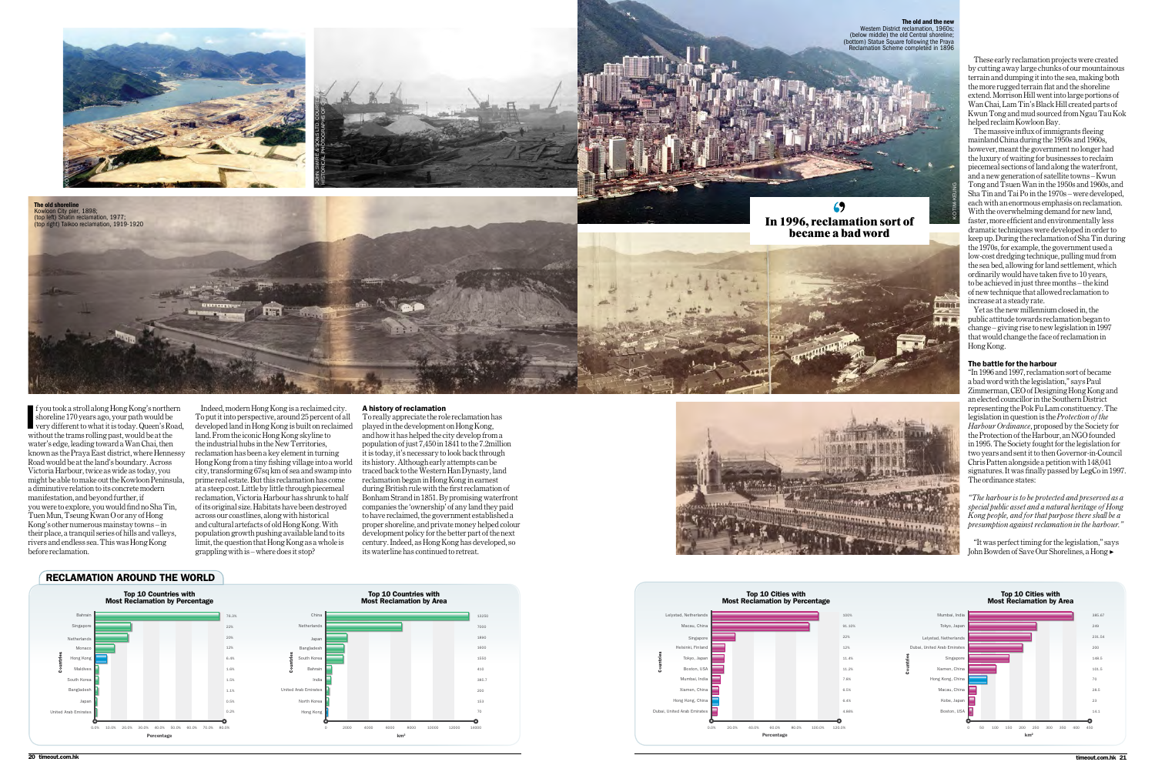If you took a stroll along Hong Kong's norther shoreline 170 years ago, your path would be very different to what it is today. Queen's Ro without the trams rolling past, would be at the f you took a stroll along Hong Kong's northern shoreline 170 years ago, your path would be very different to what it is today. Queen's Road, water's edge, leading toward a Wan Chai, then known as the Praya East district, where Hennessy Road would be at the land's boundary. Across Victoria Harbour, twice as wide as today, you might be able to make out the Kowloon Peninsula, a diminutive relation to its concrete modern manifestation, and beyond further, if you were to explore, you would find no Sha Tin, Tuen Mun, Tseung Kwan O or any of Hong Kong's other numerous mainstay towns – in their place, a tranquil series of hills and valleys, rivers and endless sea. This was Hong Kong before reclamation.

Indeed, modern Hong Kong is a reclaimed city. To put it into perspective, around 25 percent of all developed land in Hong Kong is built on reclaimed land. From the iconic Hong Kong skyline to the industrial hubs in the New Territories, reclamation has been a key element in turning Hong Kong from a tiny fishing village into a world city, transforming 67sq km of sea and swamp into prime real estate. But this reclamation has come at a steep cost. Little by little through piecemeal reclamation, Victoria Harbour has shrunk to half of its original size. Habitats have been destroyed across our coastlines, along with historical and cultural artefacts of old Hong Kong. With population growth pushing available land to its limit, the question that Hong Kong as a whole is grappling with is – where does it stop?

### A history of reclamation

"It was perfect timing for the legislation," says John Bowden of Save Our Shorelines, a Hong ▶



To really appreciate the role reclamation has played in the development on Hong Kong, and how it has helped the city develop from a population of just 7,450 in 1841 to the 7.2million it is today, it's necessary to look back through its history. Although early attempts can be traced back to the Western Han Dynasty, land reclamation began in Hong Kong in earnest during British rule with the first reclamation of Bonham Strand in 1851. By promising waterfront companies the 'ownership' of any land they paid to have reclaimed, the government established a proper shoreline, and private money helped colour development policy for the better part of the next century. Indeed, as Hong Kong has developed, so its waterline has continued to retreat.

**The old shoreline**<br>Kowloon City pier, 1898; (top left) Shatin reclamation, 1977; (top right) Taikoo reclamation, 1919-1920







These early reclamation projects were created by cutting away large chunks of our mountainous terrain and dumping it into the sea, making both the more rugged terrain flat and the shoreline extend. Morrison Hill went into large portions of Wan Chai, Lam Tin's Black Hill created parts of Kwun Tong and mud sourced from Ngau Tau Kok helped reclaim Kowloon Bay.

The massive influx of immigrants fleeing mainland China during the 1950s and 1960s, however, meant the government no longer had the luxury of waiting for businesses to reclaim piecemeal sections of land along the waterfront, and a new generation of satellite towns – Kwun Tong and Tsuen Wan in the 1950s and 1960s, and Sha Tin and Tai Po in the 1970s – were developed, each with an enormous emphasis on reclamation. With the overwhelming demand for new land, faster, more efficient and environmentally less dramatic techniques were developed in order to keep up. During the reclamation of Sha Tin during the 1970s, for example, the government used a low-cost dredging technique, pulling mud from the sea bed, allowing for land settlement, which ordinarily would have taken five to 10 years, to be achieved in just three months – the kind of new technique that allowed reclamation to increase at a steady rate.

Yet as the new millennium closed in, the public attitude towards reclamation began to change – giving rise to new legislation in 1997 that would change the face of reclamation in Hong Kong.

### The battle for the harbour

"In 1996 and 1997, reclamation sort of became a bad word with the legislation," says Paul Zimmerman, CEO of Designing Hong Kong and an elected councillor in the Southern District representing the Pok Fu Lam constituency. The legislation in question is the *Protection of the Harbour Ordinance*, proposed by the Society for the Protection of the Harbour, an NGO founded in 1995. The Society fought for the legislation for two years and sent it to then Governor-in-Council Chris Patten alongside a petition with 148,041 signatures. It was finally passed by LegCo in 1997. The ordinance states:

*"The harbour is to be protected and preserved as a special public asset and a natural heritage of Hong Kong people, and for that purpose there shall be a presumption against reclamation in the harbour."* 





The old and the new ict reclamation, 1960s; (below middle) the old Central shoreline; ow initially Square following the Praya Reclamation Scheme completed in 1896







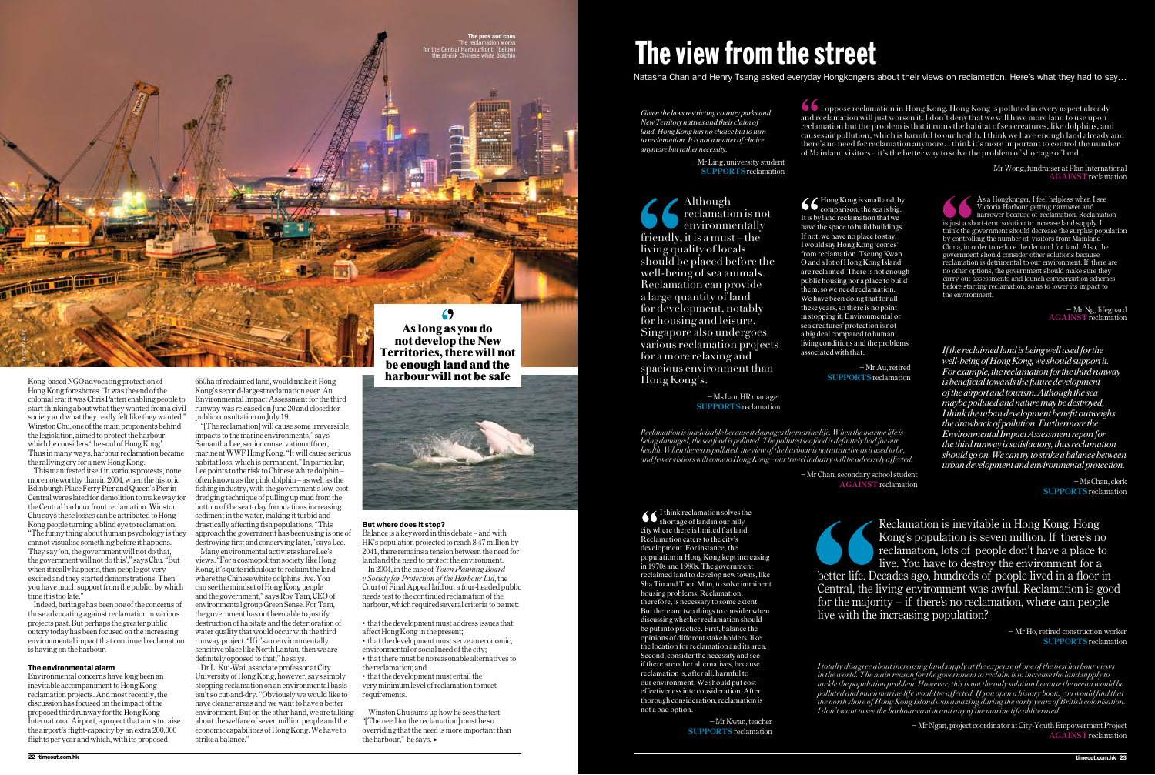This manifested itself in various protests, none more noteworthy than in 2004, when the historic Edinburgh Place Ferry Pier and Queen's Pier in Central were slated for demolition to make way for the Central harbour front reclamation. Winston Chu says these losses can be attributed to Hong Kong people turning a blind eye to reclamation. "The funny thing about human psychology is they cannot visualise something before it happens. They say 'oh, the government will not do that, the government will not do this'," says Chu. "But when it really happens, then people got very excited and they started demonstrations. Then you have much support from the public, by which time it is too late."

Kong-based NGO advocating protection of Hong Kong foreshores. "It was the end of the colonial era; it was Chris Patten enabling people to start thinking about what they wanted from a civil society and what they really felt like they wanted." Winston Chu, one of the main proponents behind the legislation, aimed to protect the harbour, which he considers 'the soul of Hong Kong'. Thus in many ways, harbour reclamation became the rallying cry for a new Hong Kong.

"[The reclamation] will cause some irreversible impacts to the marine environments," says Samantha Lee, senior conservation officer, marine at WWF Hong Kong. "It will cause serious habitat loss, which is permanent." In particular, Lee points to the risk to Chinese white dolphin  $$ often known as the pink dolphin – as well as the fishing industry, with the government's low-cost dredging technique of pulling up mud from the bottom of the sea to lay foundations increasing sediment in the water, making it turbid and drastically affecting fish populations. "This approach the government has been using is one of destroying first and conserving later," says Lee.

Indeed, heritage has been one of the concerns of those advocating against reclamation in various projects past. But perhaps the greater public outcry today has been focused on the increasing environmental impact that continued reclamation is having on the harbour.

### The environmental alarm

Environmental concerns have long been an inevitable accompaniment to Hong Kong reclamation projects. And most recently, the discussion has focused on the impact of the proposed third runway for the Hong Kong International Airport, a project that aims to raise the airport's flight-capacity by an extra 200,000 flights per year and which, with its proposed

650ha of reclaimed land, would make it Hong Kong's second-largest reclamation ever. An Environmental Impact Assessment for the third runway was released on June 20 and closed for public consultation on July 19.

Many environmental activists share Lee's views. "For a cosmopolitan society like Hong Kong, it's quite ridiculous to reclaim the land where the Chinese white dolphins live. You can see the mindset of Hong Kong people and the government," says Roy Tam, CEO of environmental group Green Sense. For Tam, the government has not been able to justify destruction of habitats and the deterioration of water quality that would occur with the third runway project. "If it's an environmentally sensitive place like North Lantau, then we are definitely opposed to that," he says.

− Mr Chan, secondary school student **AGAINST** reclamation

Dr Li Kui-Wai, associate professor at City University of Hong Kong, however, says simply stopping reclamation on an environmental basis isn't so cut-and-dry. "Obviously we would like to have cleaner areas and we want to have a better environment. But on the other hand, we are talking about the welfare of seven million people and the economic capabilities of Hong Kong. We have to strike a balance."

### But where does it stop?

Balance is a keyword in this debate – and with HK's population projected to reach 8.47 million by 2041, there remains a tension between the need for land and the need to protect the environment. In 2004, in the case of *Town Planning Board v Society for Protection of the Harbour Ltd*, the Court of Final Appeal laid out a four-headed public needs test to the continued reclamation of the harbour, which required several criteria to be met:

• that the development must address issues that affect Hong Kong in the present; • that the development must serve an economic,

environmental or social need of the city; • that there must be no reasonable alternatives to the reclamation; and

• that the development must entail the very minimum level of reclamation to meet requirements.

− Ms Lau, HR manager **SUPPORTS** reclamation

Winston Chu sums up how he sees the test. "[The need for the reclamation] must be so overriding that the need is more important than the harbour," he says. ▶



**not develop the New Territories, there will not be enough land and the harbour will not be safe**



# The view from the street

Natasha Chan and Henry Tsang asked everyday Hongkongers about their views on reclamation. Here's what they had to say…

As a Hongkonger, I feel helpless when I see Victoria Harbour getting narrower and narrower because of reclamation. Reclamation is just a short-term solution to increase land supply. I think the government should decrease the surplus population by controlling the number of visitors from Mainland China, in order to reduce the demand for land. Also, the government should consider other solutions because reclamation is detrimental to our environment. If there are no other options, the government should make sure they carry out assessments and launch compensation schemes before starting reclamation, so as to lower its impact to the environment.

> − Mr Ng, lifeguard **Against** reclamation

I oppose reclamation in Hong Kong. Hong Kong is polluted in every aspect already and reclamation will just worsen it. I don't deny that we will have more land to use upon reclamation but the problem is that it ruins the habitat of sea creatures, like dolphins, and causes air pollution, which is harmful to our health. I think we have enough land already and there's no need for reclamation anymore. I think it's more important to control the number of Mainland visitors – it's the better way to solve the problem of shortage of land.

> Mr Wong, fundraiser at Plan International **Against** reclamation

*Reclamation is inadvisable because it damages the marine life. When the marine life is being damaged, the seafood is polluted. The polluted seafood is definitely bad for our health. When the sea is polluted, the view of the harbour is not attractive as it used to be, and fewer visitors will come to Hong Kong – our travel industry will be adversely affected.* 

> *I totally disagree about increasing land supply at the expense of one of the best harbour views in the world. The main reason for the government to reclaim is to increase the land supply to tackle the population problem. However, this is not the only solution because the ocean would be polluted and much marine life would be affected. If you open a history book, you would find that the north shore of Hong Kong Island was amazing during the early years of British colonisation. I don't want to see the harbour vanish and any of the marine life obliterated.*

> > − Mr Ngan, project coordinator at City-Youth Empowerment Project **Against** reclamation

I think reclamation solves the shortage of land in our hilly city where there is limited flat land. Reclamation caters to the city's development. For instance, the population in Hong Kong kept increasing in 1970s and 1980s. The government reclaimed land to develop new towns, like Sha Tin and Tuen Mun, to solve imminent housing problems. Reclamation, therefore, is necessary to some extent. But there are two things to consider when discussing whether reclamation should be put into practice. First, balance the opinions of different stakeholders, like the location for reclamation and its area. Second, consider the necessity and see if there are other alternatives, because reclamation is, after all, harmful to our environment. We should put costeffectiveness into consideration. After thorough consideration, reclamation is not a bad option.

> − Mr Kwan, teacher **Supports** reclamation

Reclamation is inevitable in Hong Kong. Hong Kong's population is seven million. If there's no reclamation, lots of people don't have a place to live. You have to destroy the environment for a better life. Decades ago, hundreds of people lived in a floor in Central, the living environment was awful. Reclamation is good for the majority – if there's no reclamation, where can people live with the increasing population?

> − Mr Ho, retired construction worker **Supports** reclamation

Although reclamation is not environmentally friendly, it is a must the living quality of locals should be placed before the well-being of sea animals. Reclamation can provide a large quantity of land for development, notably for housing and leisure. Singapore also undergoes various reclamation projects for a more relaxing and spacious environment than Hong Kong's.

*If the reclaimed land is being well used for the well-being of Hong Kong, we should support it. For example, the reclamation for the third runway is beneficial towards the future development of the airport and tourism. Although the sea maybe polluted and nature may be destroyed, I think the urban development benefit outweighs the drawback of pollution. Furthermore the Environmental Impact Assessment report for the third runway is satisfactory, thus reclamation should go on. We can try to strike a balance between urban development and environmental protection.*

> − Ms Chan, clerk **Supports** reclamation

Hong Kong is small and, by comparison, the sea is big. It is by land reclamation that we have the space to build buildings. If not, we have no place to stay. I would say Hong Kong 'comes' from reclamation. Tseung Kwan O and a lot of Hong Kong Island are reclaimed. There is not enough public housing nor a place to build them, so we need reclamation. We have been doing that for all these years, so there is no point in stopping it. Environmental or sea creatures' protection is not a big deal compared to human living conditions and the problems associated with that.

> − Mr Au, retired **Supports** reclamation

*Given the laws restricting country parks and New Territory natives and their claim of land, Hong Kong has no choice but to turn to reclamation. It is not a matter of choice anymore but rather necessity.*

> − Mr Ling, university student **Supports** reclamation